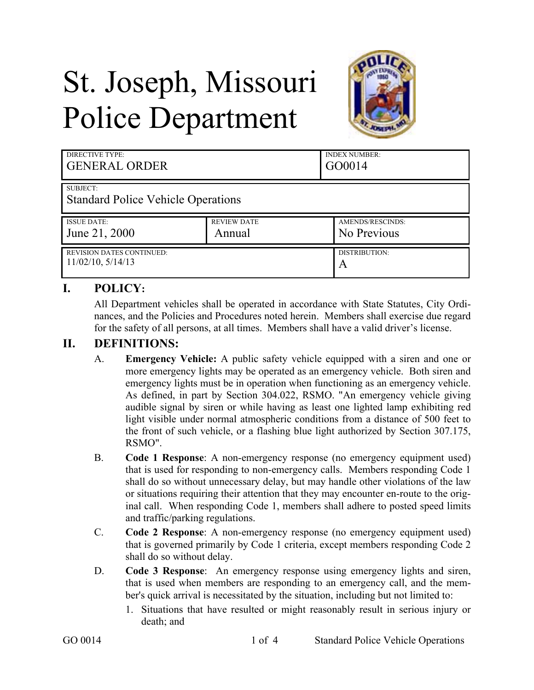# St. Joseph, Missouri Police Department



| DIRECTIVE TYPE:<br><b>GENERAL ORDER</b>               |                    | <b>INDEX NUMBER:</b><br>GO0014 |
|-------------------------------------------------------|--------------------|--------------------------------|
| SUBJECT:<br><b>Standard Police Vehicle Operations</b> |                    |                                |
| <b>ISSUE DATE:</b>                                    | <b>REVIEW DATE</b> | AMENDS/RESCINDS:               |
| June 21, 2000                                         | Annual             | No Previous                    |
| <b>REVISION DATES CONTINUED:</b>                      |                    | DISTRIBUTION:                  |
| $11/02/10$ , $5/14/13$                                |                    | A                              |

# **I. POLICY:**

All Department vehicles shall be operated in accordance with State Statutes, City Ordinances, and the Policies and Procedures noted herein. Members shall exercise due regard for the safety of all persons, at all times. Members shall have a valid driver's license.

### **II. DEFINITIONS:**

- A. **Emergency Vehicle:** A public safety vehicle equipped with a siren and one or more emergency lights may be operated as an emergency vehicle. Both siren and emergency lights must be in operation when functioning as an emergency vehicle. As defined, in part by Section 304.022, RSMO. "An emergency vehicle giving audible signal by siren or while having as least one lighted lamp exhibiting red light visible under normal atmospheric conditions from a distance of 500 feet to the front of such vehicle, or a flashing blue light authorized by Section 307.175, RSMO".
- B. **Code 1 Response**: A non-emergency response (no emergency equipment used) that is used for responding to non-emergency calls. Members responding Code 1 shall do so without unnecessary delay, but may handle other violations of the law or situations requiring their attention that they may encounter en-route to the original call. When responding Code 1, members shall adhere to posted speed limits and traffic/parking regulations.
- C. **Code 2 Response**: A non-emergency response (no emergency equipment used) that is governed primarily by Code 1 criteria, except members responding Code 2 shall do so without delay.
- D. **Code 3 Response**: An emergency response using emergency lights and siren, that is used when members are responding to an emergency call, and the member's quick arrival is necessitated by the situation, including but not limited to:
	- 1. Situations that have resulted or might reasonably result in serious injury or death; and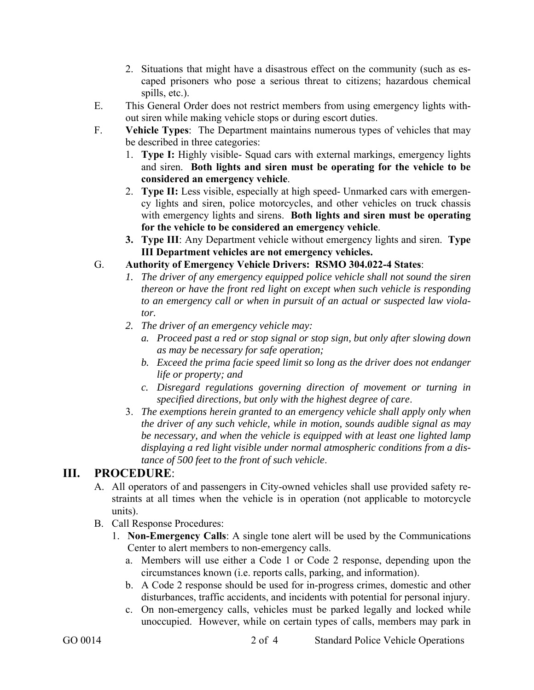- 2. Situations that might have a disastrous effect on the community (such as escaped prisoners who pose a serious threat to citizens; hazardous chemical spills, etc.).
- E. This General Order does not restrict members from using emergency lights without siren while making vehicle stops or during escort duties.
- F. **Vehicle Types**: The Department maintains numerous types of vehicles that may be described in three categories:
	- 1. **Type I:** Highly visible- Squad cars with external markings, emergency lights and siren. **Both lights and siren must be operating for the vehicle to be considered an emergency vehicle**.
	- 2. **Type II:** Less visible, especially at high speed- Unmarked cars with emergency lights and siren, police motorcycles, and other vehicles on truck chassis with emergency lights and sirens. **Both lights and siren must be operating for the vehicle to be considered an emergency vehicle**.
	- **3. Type III**: Any Department vehicle without emergency lights and siren. **Type III Department vehicles are not emergency vehicles.**
- G. **Authority of Emergency Vehicle Drivers: RSMO 304.022-4 States**:
	- *1. The driver of any emergency equipped police vehicle shall not sound the siren thereon or have the front red light on except when such vehicle is responding to an emergency call or when in pursuit of an actual or suspected law violator.*
	- *2. The driver of an emergency vehicle may:* 
		- *a. Proceed past a red or stop signal or stop sign, but only after slowing down as may be necessary for safe operation;*
		- *b. Exceed the prima facie speed limit so long as the driver does not endanger life or property; and*
		- *c. Disregard regulations governing direction of movement or turning in specified directions, but only with the highest degree of care*.
	- 3. *The exemptions herein granted to an emergency vehicle shall apply only when the driver of any such vehicle, while in motion, sounds audible signal as may be necessary, and when the vehicle is equipped with at least one lighted lamp displaying a red light visible under normal atmospheric conditions from a distance of 500 feet to the front of such vehicle*.

## **III. PROCEDURE**:

- A. All operators of and passengers in City-owned vehicles shall use provided safety restraints at all times when the vehicle is in operation (not applicable to motorcycle units).
- B. Call Response Procedures:
	- 1. **Non-Emergency Calls**: A single tone alert will be used by the Communications Center to alert members to non-emergency calls.
		- a. Members will use either a Code 1 or Code 2 response, depending upon the circumstances known (i.e. reports calls, parking, and information).
		- b. A Code 2 response should be used for in-progress crimes, domestic and other disturbances, traffic accidents, and incidents with potential for personal injury.
		- c. On non-emergency calls, vehicles must be parked legally and locked while unoccupied. However, while on certain types of calls, members may park in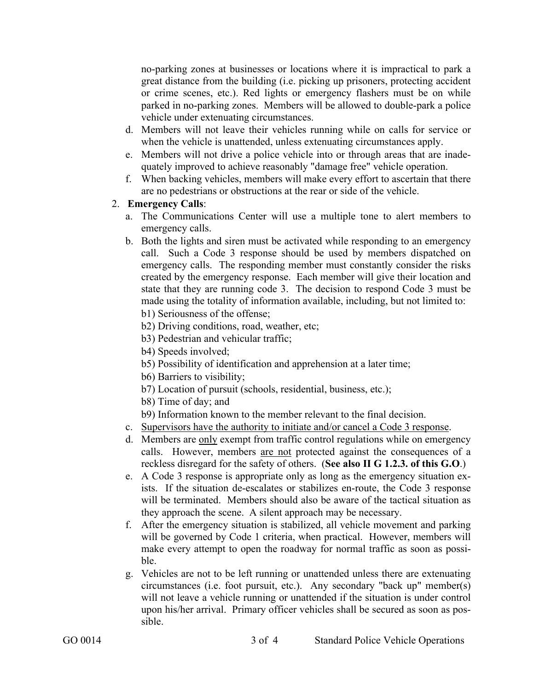no-parking zones at businesses or locations where it is impractical to park a great distance from the building (i.e. picking up prisoners, protecting accident or crime scenes, etc.). Red lights or emergency flashers must be on while parked in no-parking zones. Members will be allowed to double-park a police vehicle under extenuating circumstances.

- d. Members will not leave their vehicles running while on calls for service or when the vehicle is unattended, unless extenuating circumstances apply.
- e. Members will not drive a police vehicle into or through areas that are inadequately improved to achieve reasonably "damage free" vehicle operation.
- f. When backing vehicles, members will make every effort to ascertain that there are no pedestrians or obstructions at the rear or side of the vehicle.

#### 2. **Emergency Calls**:

- a. The Communications Center will use a multiple tone to alert members to emergency calls.
- b. Both the lights and siren must be activated while responding to an emergency call. Such a Code 3 response should be used by members dispatched on emergency calls. The responding member must constantly consider the risks created by the emergency response. Each member will give their location and state that they are running code 3. The decision to respond Code 3 must be made using the totality of information available, including, but not limited to: b1) Seriousness of the offense;
	- b2) Driving conditions, road, weather, etc;
	- b3) Pedestrian and vehicular traffic;
	- b4) Speeds involved;
	- b5) Possibility of identification and apprehension at a later time;
	- b6) Barriers to visibility;
	- b7) Location of pursuit (schools, residential, business, etc.);
	- b8) Time of day; and
	- b9) Information known to the member relevant to the final decision.
- c. Supervisors have the authority to initiate and/or cancel a Code 3 response.
- d. Members are only exempt from traffic control regulations while on emergency calls. However, members are not protected against the consequences of a reckless disregard for the safety of others. (**See also II G 1.2.3. of this G.O**.)
- e. A Code 3 response is appropriate only as long as the emergency situation exists. If the situation de-escalates or stabilizes en-route, the Code 3 response will be terminated. Members should also be aware of the tactical situation as they approach the scene. A silent approach may be necessary.
- f. After the emergency situation is stabilized, all vehicle movement and parking will be governed by Code 1 criteria, when practical. However, members will make every attempt to open the roadway for normal traffic as soon as possible.
- g. Vehicles are not to be left running or unattended unless there are extenuating circumstances (i.e. foot pursuit, etc.). Any secondary "back up" member(s) will not leave a vehicle running or unattended if the situation is under control upon his/her arrival. Primary officer vehicles shall be secured as soon as possible.